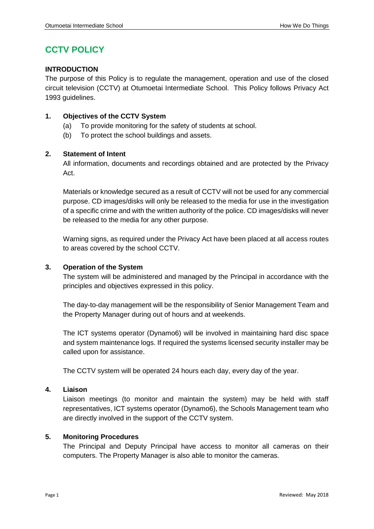# **CCTV POLICY**

# **INTRODUCTION**

The purpose of this Policy is to regulate the management, operation and use of the closed circuit television (CCTV) at Otumoetai Intermediate School. This Policy follows Privacy Act 1993 guidelines.

# **1. Objectives of the CCTV System**

- (a) To provide monitoring for the safety of students at school.
- (b) To protect the school buildings and assets.

# **2. Statement of Intent**

All information, documents and recordings obtained and are protected by the Privacy Act.

Materials or knowledge secured as a result of CCTV will not be used for any commercial purpose. CD images/disks will only be released to the media for use in the investigation of a specific crime and with the written authority of the police. CD images/disks will never be released to the media for any other purpose.

Warning signs, as required under the Privacy Act have been placed at all access routes to areas covered by the school CCTV.

# **3. Operation of the System**

The system will be administered and managed by the Principal in accordance with the principles and objectives expressed in this policy.

The day-to-day management will be the responsibility of Senior Management Team and the Property Manager during out of hours and at weekends.

The ICT systems operator (Dynamo6) will be involved in maintaining hard disc space and system maintenance logs. If required the systems licensed security installer may be called upon for assistance.

The CCTV system will be operated 24 hours each day, every day of the year.

# **4. Liaison**

Liaison meetings (to monitor and maintain the system) may be held with staff representatives, ICT systems operator (Dynamo6), the Schools Management team who are directly involved in the support of the CCTV system.

# **5. Monitoring Procedures**

The Principal and Deputy Principal have access to monitor all cameras on their computers. The Property Manager is also able to monitor the cameras.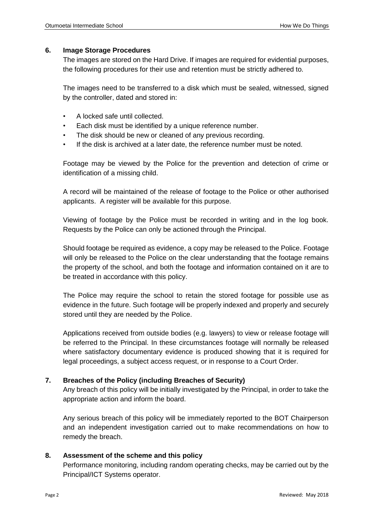## **6. Image Storage Procedures**

The images are stored on the Hard Drive. If images are required for evidential purposes, the following procedures for their use and retention must be strictly adhered to.

The images need to be transferred to a disk which must be sealed, witnessed, signed by the controller, dated and stored in:

- A locked safe until collected.
- Each disk must be identified by a unique reference number.
- The disk should be new or cleaned of any previous recording.
- If the disk is archived at a later date, the reference number must be noted.

Footage may be viewed by the Police for the prevention and detection of crime or identification of a missing child.

A record will be maintained of the release of footage to the Police or other authorised applicants. A register will be available for this purpose.

Viewing of footage by the Police must be recorded in writing and in the log book. Requests by the Police can only be actioned through the Principal.

Should footage be required as evidence, a copy may be released to the Police. Footage will only be released to the Police on the clear understanding that the footage remains the property of the school, and both the footage and information contained on it are to be treated in accordance with this policy.

The Police may require the school to retain the stored footage for possible use as evidence in the future. Such footage will be properly indexed and properly and securely stored until they are needed by the Police.

Applications received from outside bodies (e.g. lawyers) to view or release footage will be referred to the Principal. In these circumstances footage will normally be released where satisfactory documentary evidence is produced showing that it is required for legal proceedings, a subject access request, or in response to a Court Order.

# **7. Breaches of the Policy (including Breaches of Security)**

Any breach of this policy will be initially investigated by the Principal, in order to take the appropriate action and inform the board.

Any serious breach of this policy will be immediately reported to the BOT Chairperson and an independent investigation carried out to make recommendations on how to remedy the breach.

# **8. Assessment of the scheme and this policy**

Performance monitoring, including random operating checks, may be carried out by the Principal/ICT Systems operator.